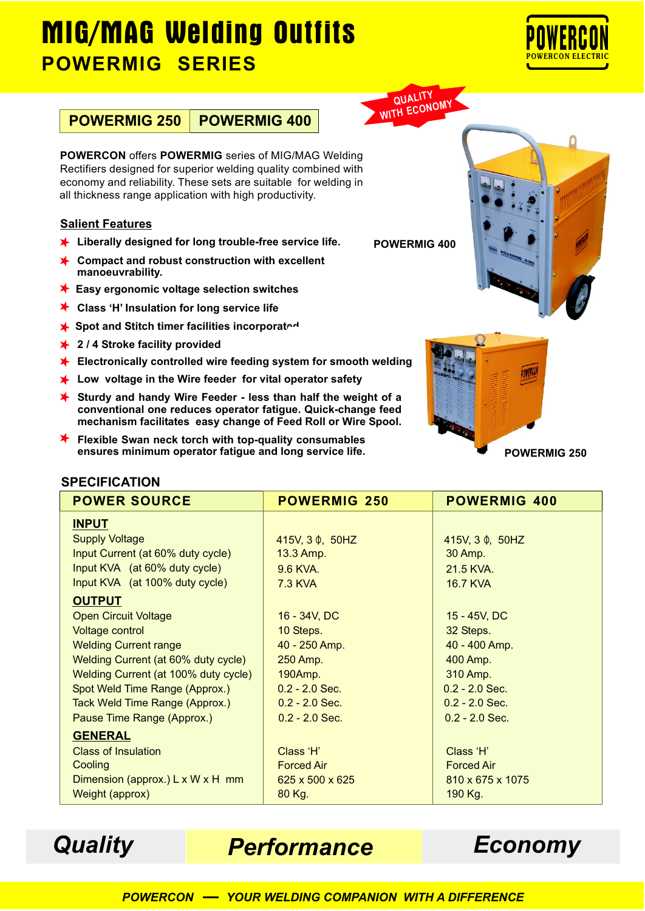# **MIG/MAG Welding Outfits POWERMIG SERIES**



**POWERMIG 250 POWERMIG 400**

**POWERCON** offers **POWERMIG** series of MIG/MAG Welding Rectifiers designed for superior welding quality combined with economy and reliability. These sets are suitable for welding in all thickness range application with high productivity.

#### **Salient Features**

- **Liberally designed for long trouble-free service life.**
- **Compact and robust construction with excellent manoeuvrability.**
- **Easy ergonomic voltage selection switches**
- **Class 'H' Insulation for long service life**
- Spot and Stitch timer facilities incorporated
- **2 / 4 Stroke facility provided**
- **Electronically controlled wire feeding system for smooth welding**
- **Low voltage in the Wire feeder for vital operator safety**
- **Sturdy and handy Wire Feeder less than half the weight of a conventional one reduces operator fatigue. Quick-change feed mechanism facilitates easy change of Feed Roll or Wire Spool.**
- **Flexible Swan neck torch with top-quality consumables ensures minimum operator fatigue and long service life.**





**POWERMIG 400**

**QUALITY WITH ECONOMY** 

#### **SPECIFICATION**

| <b>POWER SOURCE</b>                  | <b>POWERMIG 250</b>         | <b>POWERMIG 400</b> |
|--------------------------------------|-----------------------------|---------------------|
| <b>INPUT</b>                         |                             |                     |
| <b>Supply Voltage</b>                | 415V, $3 \phi$ , $50$ HZ    | 415V, 3 0, 50HZ     |
| Input Current (at 60% duty cycle)    | 13.3 Amp.                   | 30 Amp.             |
| Input KVA (at 60% duty cycle)        | 9.6 KVA.                    | 21.5 KVA.           |
| Input KVA (at 100% duty cycle)       | <b>7.3 KVA</b>              | <b>16.7 KVA</b>     |
| <b>OUTPUT</b>                        |                             |                     |
| <b>Open Circuit Voltage</b>          | 16 - 34V, DC                | 15 - 45V, DC        |
| Voltage control                      | 10 Steps.                   | 32 Steps.           |
| <b>Welding Current range</b>         | 40 - 250 Amp.               | 40 - 400 Amp.       |
| Welding Current (at 60% duty cycle)  | 250 Amp.                    | 400 Amp.            |
| Welding Current (at 100% duty cycle) | 190Amp.                     | 310 Amp.            |
| Spot Weld Time Range (Approx.)       | $0.2 - 2.0$ Sec.            | $0.2 - 2.0$ Sec.    |
| Tack Weld Time Range (Approx.)       | $0.2 - 2.0$ Sec.            | $0.2 - 2.0$ Sec.    |
| Pause Time Range (Approx.)           | $0.2 - 2.0$ Sec.            | $0.2 - 2.0$ Sec.    |
| <b>GENERAL</b>                       |                             |                     |
| <b>Class of Insulation</b>           | Class 'H'                   | Class 'H'           |
| Cooling                              | <b>Forced Air</b>           | <b>Forced Air</b>   |
| Dimension (approx.) L x W x H mm     | $625 \times 500 \times 625$ | 810 x 675 x 1075    |
| Weight (approx)                      | 80 Kg.                      | 190 Kg.             |

*Quality Performance Economy*